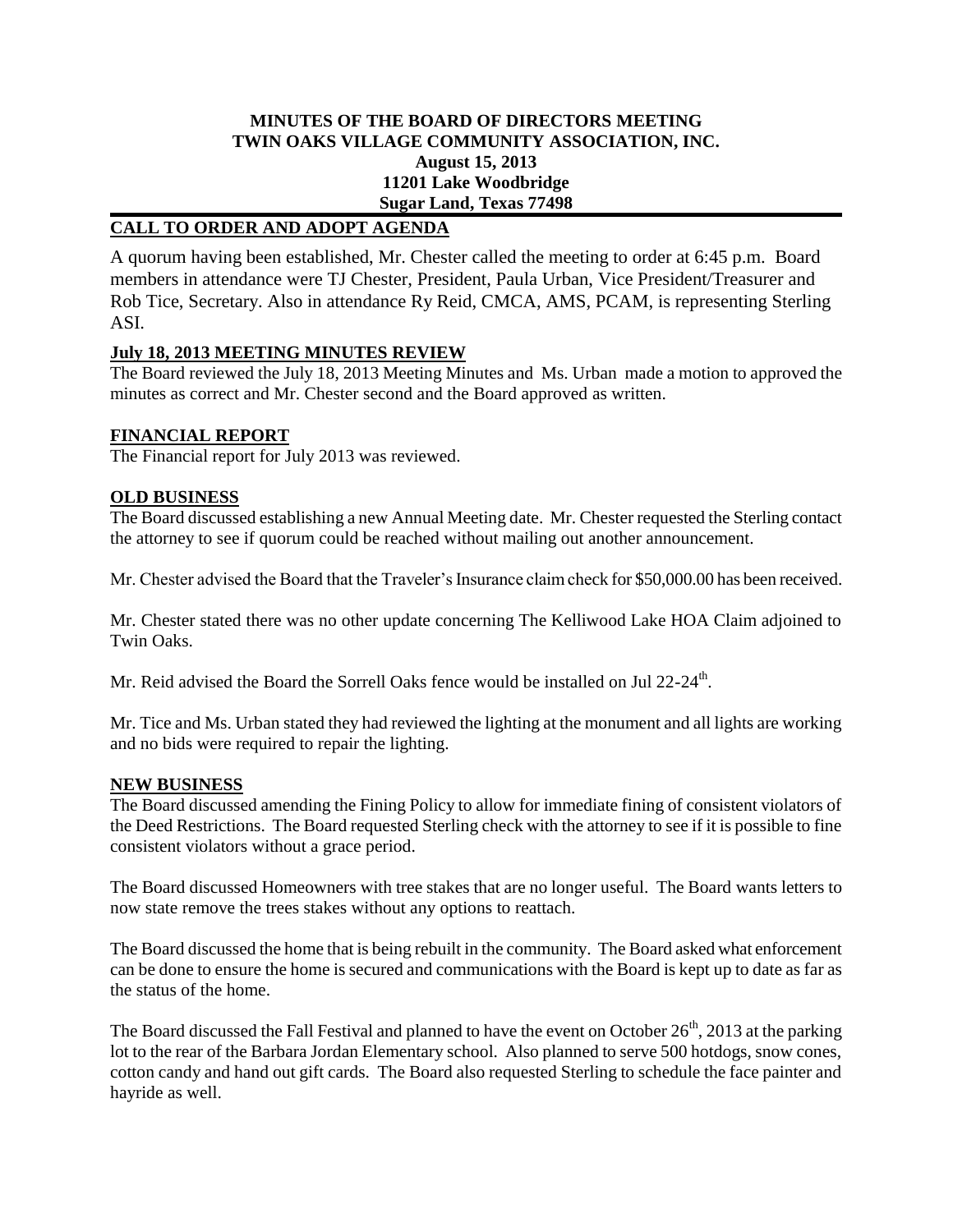## **MINUTES OF THE BOARD OF DIRECTORS MEETING TWIN OAKS VILLAGE COMMUNITY ASSOCIATION, INC. August 15, 2013 11201 Lake Woodbridge Sugar Land, Texas 77498**

## **CALL TO ORDER AND ADOPT AGENDA**

A quorum having been established, Mr. Chester called the meeting to order at 6:45 p.m. Board members in attendance were TJ Chester, President, Paula Urban, Vice President/Treasurer and Rob Tice, Secretary. Also in attendance Ry Reid, CMCA, AMS, PCAM, is representing Sterling ASI.

### **July 18, 2013 MEETING MINUTES REVIEW**

The Board reviewed the July 18, 2013 Meeting Minutes and Ms. Urban made a motion to approved the minutes as correct and Mr. Chester second and the Board approved as written.

### **FINANCIAL REPORT**

The Financial report for July 2013 was reviewed.

### **OLD BUSINESS**

The Board discussed establishing a new Annual Meeting date. Mr. Chester requested the Sterling contact the attorney to see if quorum could be reached without mailing out another announcement.

Mr. Chester advised the Board that the Traveler's Insurance claim check for \$50,000.00 has been received.

Mr. Chester stated there was no other update concerning The Kelliwood Lake HOA Claim adjoined to Twin Oaks.

Mr. Reid advised the Board the Sorrell Oaks fence would be installed on Jul 22-24<sup>th</sup>.

Mr. Tice and Ms. Urban stated they had reviewed the lighting at the monument and all lights are working and no bids were required to repair the lighting.

#### **NEW BUSINESS**

The Board discussed amending the Fining Policy to allow for immediate fining of consistent violators of the Deed Restrictions. The Board requested Sterling check with the attorney to see if it is possible to fine consistent violators without a grace period.

The Board discussed Homeowners with tree stakes that are no longer useful. The Board wants letters to now state remove the trees stakes without any options to reattach.

The Board discussed the home that is being rebuilt in the community. The Board asked what enforcement can be done to ensure the home is secured and communications with the Board is kept up to date as far as the status of the home.

The Board discussed the Fall Festival and planned to have the event on October  $26<sup>th</sup>$ , 2013 at the parking lot to the rear of the Barbara Jordan Elementary school. Also planned to serve 500 hotdogs, snow cones, cotton candy and hand out gift cards. The Board also requested Sterling to schedule the face painter and hayride as well.